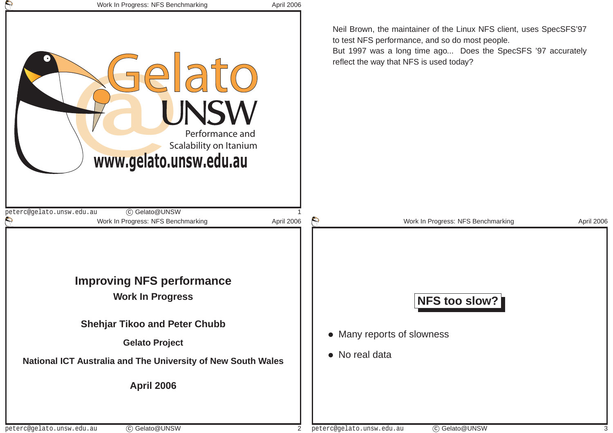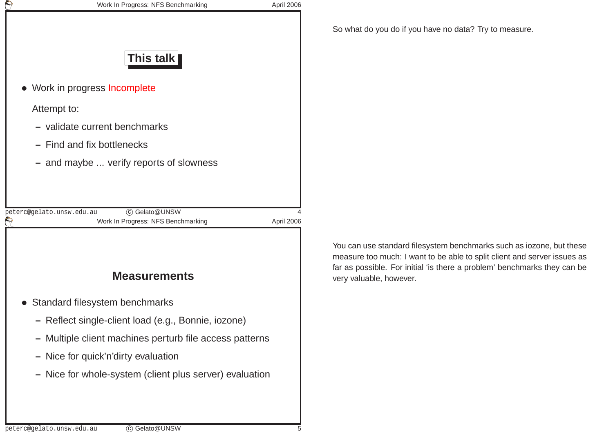| Work In Progress: NFS Benchmarking                                               | April 2006      |
|----------------------------------------------------------------------------------|-----------------|
| This talk                                                                        |                 |
| • Work in progress Incomplete                                                    |                 |
| Attempt to:                                                                      |                 |
| - validate current benchmarks                                                    |                 |
| - Find and fix bottlenecks                                                       |                 |
| - and maybe  verify reports of slowness                                          |                 |
|                                                                                  |                 |
| C Gelato@UNSW<br>peterc@gelato.unsw.edu.au<br>Work In Progress: NFS Benchmarking | 4<br>April 2006 |
|                                                                                  |                 |
|                                                                                  |                 |
| <b>Measurements</b>                                                              |                 |
| Standard filesystem benchmarks                                                   |                 |
| - Reflect single-client load (e.g., Bonnie, iozone)                              |                 |
| - Multiple client machines perturb file access patterns                          |                 |
| - Nice for quick'n'dirty evaluation                                              |                 |
| - Nice for whole-system (client plus server) evaluation                          |                 |
|                                                                                  |                 |
|                                                                                  |                 |

C Gelato@UNSW

You can use standard filesystem benchmarks such as iozone, but these measure too much: I want to be able to split client and server issues as far as possible. For initial 'is there <sup>a</sup> problem' benchmarks they can bevery valuable, however.

So what do you do if you have no data? Try to measure.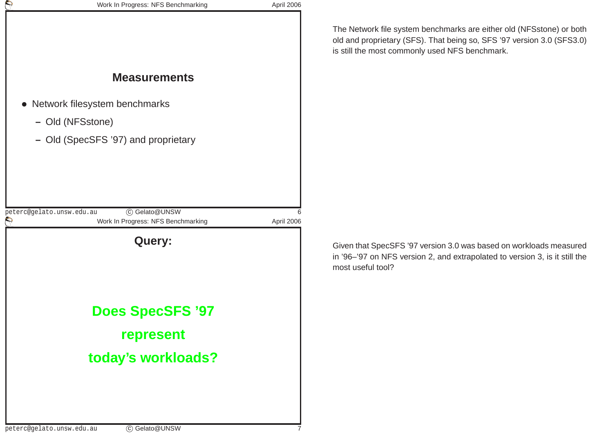| $\Theta$                              | Work In Progress: NFS Benchmarking                  | April 2006      |
|---------------------------------------|-----------------------------------------------------|-----------------|
|                                       |                                                     |                 |
|                                       |                                                     |                 |
|                                       |                                                     |                 |
|                                       | <b>Measurements</b>                                 |                 |
|                                       | Network filesystem benchmarks                       |                 |
|                                       | - Old (NFSstone)                                    |                 |
| $\equiv$                              | Old (SpecSFS '97) and proprietary                   |                 |
|                                       |                                                     |                 |
|                                       |                                                     |                 |
|                                       |                                                     |                 |
| peterc@gelato.unsw.edu.au<br>$\Theta$ | C Gelato@UNSW<br>Work In Progress: NFS Benchmarking | 6<br>April 2006 |
|                                       | <b>Query:</b>                                       |                 |
|                                       |                                                     |                 |
|                                       |                                                     |                 |
|                                       |                                                     |                 |
|                                       | <b>Does SpecSFS '97</b>                             |                 |
|                                       | represent                                           |                 |
|                                       | today's workloads?                                  |                 |
|                                       |                                                     |                 |
|                                       |                                                     |                 |
|                                       |                                                     |                 |
| peterc@gelato.unsw.edu.au             | C Gelato@UNSW                                       |                 |

The Network file system benchmarks are either old (NFSstone) or both old and proprietary (SFS). That being so, SFS '97 version 3.0 (SFS3.0)is still the most commonly used NFS benchmark.

Given that SpecSFS '97 version 3.0 was based on workloads measured in '96–'97 on NFS version 2, and extrapolated to version 3, is it still themost useful tool?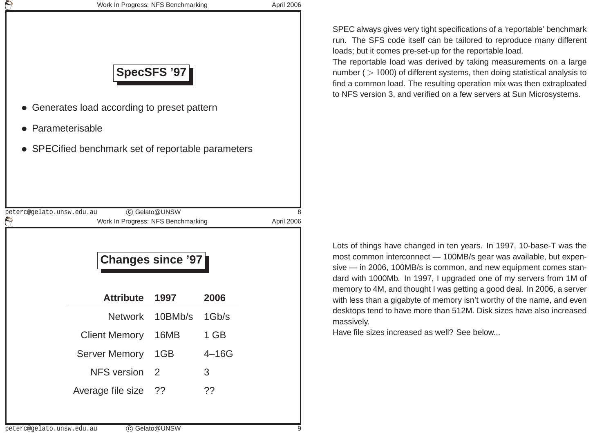| SpecSFS '97<br>Generates load according to preset pattern<br>Parameterisable<br>• SPECified benchmark set of reportable parameters<br>C Gelato@UNSW<br>peterc@gelato.unsw.edu.au<br>8<br>$\boldsymbol{\varphi}$<br>Work In Progress: NFS Benchmarking<br>April 2006<br><b>Changes since '97</b><br><b>Attribute</b><br>2006<br>1997<br>Network<br>10BMb/s<br>1Gb/s<br>$1$ GB<br><b>Client Memory</b><br>16MB<br>1GB<br><b>Server Memory</b><br>$4-16G$<br><b>NFS</b> version<br>2<br>3<br>Average file size<br>??<br>?? |  | Work In Progress: NFS Benchmarking | April 2006 |
|-------------------------------------------------------------------------------------------------------------------------------------------------------------------------------------------------------------------------------------------------------------------------------------------------------------------------------------------------------------------------------------------------------------------------------------------------------------------------------------------------------------------------|--|------------------------------------|------------|
|                                                                                                                                                                                                                                                                                                                                                                                                                                                                                                                         |  |                                    |            |
|                                                                                                                                                                                                                                                                                                                                                                                                                                                                                                                         |  |                                    |            |
|                                                                                                                                                                                                                                                                                                                                                                                                                                                                                                                         |  |                                    |            |
|                                                                                                                                                                                                                                                                                                                                                                                                                                                                                                                         |  |                                    |            |
|                                                                                                                                                                                                                                                                                                                                                                                                                                                                                                                         |  |                                    |            |
|                                                                                                                                                                                                                                                                                                                                                                                                                                                                                                                         |  |                                    |            |
|                                                                                                                                                                                                                                                                                                                                                                                                                                                                                                                         |  |                                    |            |
|                                                                                                                                                                                                                                                                                                                                                                                                                                                                                                                         |  |                                    |            |
|                                                                                                                                                                                                                                                                                                                                                                                                                                                                                                                         |  |                                    |            |
|                                                                                                                                                                                                                                                                                                                                                                                                                                                                                                                         |  |                                    |            |
|                                                                                                                                                                                                                                                                                                                                                                                                                                                                                                                         |  |                                    |            |
|                                                                                                                                                                                                                                                                                                                                                                                                                                                                                                                         |  |                                    |            |
|                                                                                                                                                                                                                                                                                                                                                                                                                                                                                                                         |  |                                    |            |
|                                                                                                                                                                                                                                                                                                                                                                                                                                                                                                                         |  |                                    |            |

<sup>c</sup> Gelato@UNSW

SPEC always gives very tight specifications of <sup>a</sup> 'reportable' benchmark run. The SFS code itself can be tailored to reproduce many different loads; but it comes pre-set-up for the reportable load.

The reportable load was derived by taking measurements on <sup>a</sup> largenumber (  $> 1000$ ) of different systems, then doing statistical analysis to  $\epsilon$ find <sup>a</sup> common load. The resulting operation mix was then extraploatedto NFS version 3, and verified on <sup>a</sup> few servers at Sun Microsystems.

Lots of things have changed in ten years. In 1997, 10-base-T was the most common interconnect — 100MB/s gear was available, but expensive — in 2006, 100MB/s is common, and new equipment comes standard with 1000Mb. In 1997, I upgraded one of my servers from 1M of memory to 4M, and thought I was getting <sup>a</sup> good deal. In 2006, <sup>a</sup> server with less than <sup>a</sup> gigabyte of memory isn't worthy of the name, and even desktops tend to have more than 512M. Disk sizes have also increasedmassively.

Have file sizes increased as well? See below...

W 9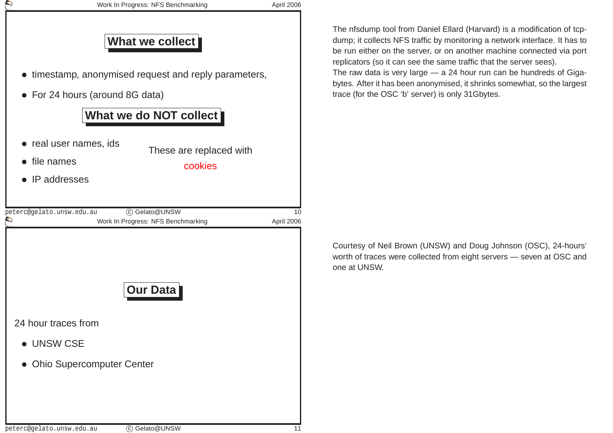

The nfsdump tool from Daniel Ellard (Harvard) is <sup>a</sup> modification of tcpdump; it collects NFS traffic by monitoring <sup>a</sup> network interface. It has to be run either on the server, or on another machine connected via port replicators (so it can see the same traffic that the server sees). The raw data is very large — <sup>a</sup> <sup>24</sup> hour run can be hundreds of Gigabytes. After it has been anonymised, it shrinks somewhat, so the largest trace (for the OSC 'b' server) is only 31Gbytes.

Courtesy of Neil Brown (UNSW) and Doug Johnson (OSC), 24-hours' worth of traces were collected from eight servers — seven at OSC andone at UNSW.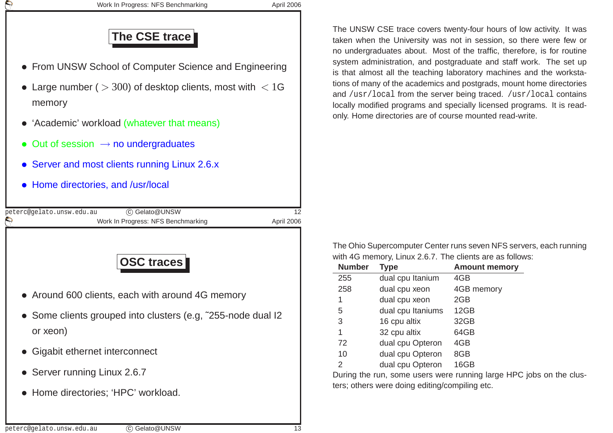Work In Progress: NFS Benchmarking Manuscriptus April 2006

## **The CSE trace**

- From UNSW School of Computer Science and Engineering
- $\bullet$  Large number (  $>$  300) of desktop clients, most with  $\,< 1$ G memory
- 'Academic' workload (whatever that means)
- Out of session  $\rightarrow$  no undergraduates
- Server and most clients running Linux 2.6.x
- Home directories, and /usr/local

 $\bigcirc$ 

peterc@gelato.unsw.edu.au <sup>c</sup> Gelato@UNSW <sup>12</sup> Work In Progress: NFS Benchmarking Manuson April 2006

## **OSC traces**

- Around <sup>600</sup> clients, each with around 4G memory
- Some clients grouped into clusters (e.g, ˜255-node dual I2 or xeon)
- Gigabit ethernet interconnect
- Server running Linux 2.6.7
- Home directories; 'HPC' workload.

The UNSW CSE trace covers twenty-four hours of low activity. It was taken when the University was not in session, so there were few orno undergraduates about. Most of the traffic, therefore, is for routine system administration, and postgraduate and staff work. The set up is that almost all the teaching laboratory machines and the workstations of many of the academics and postgrads, mount home directoriesand /usr/local from the server being traced. /usr/local contains locally modified programs and specially licensed programs. It is readonly. Home directories are of course mounted read-write.

The Ohio Supercomputer Center runs seven NFS servers, each runningwith 4G memory, Linux 2.6.7. The clients are as follows:

| <b>Number</b> | <b>Type</b>       | <b>Amount memory</b> |
|---------------|-------------------|----------------------|
| 255           | dual cpu Itanium  | 4GB                  |
| 258           | dual cpu xeon     | 4GB memory           |
| 1             | dual cpu xeon     | 2GB                  |
| 5             | dual cpu Itaniums | 12GB                 |
| 3             | 16 cpu altix      | 32GB                 |
| 1             | 32 cpu altix      | 64GB                 |
| 72            | dual cpu Opteron  | 4GB                  |
| 10            | dual cpu Opteron  | 8GB                  |
| $\mathcal{P}$ | dual cpu Opteron  | 16GB                 |
|               |                   |                      |

 During the run, some users were running large HPC jobs on the clusters; others were doing editing/compiling etc.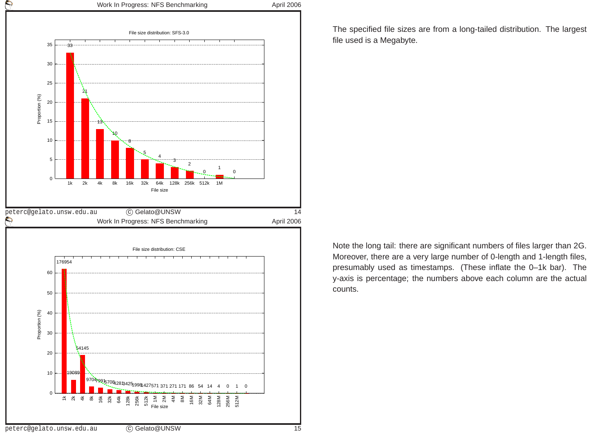

The specified file sizes are from <sup>a</sup> long-tailed distribution. The largest file used is <sup>a</sup> Megabyte.

Note the long tail: there are significant numbers of files larger than 2G. Moreover, there are <sup>a</sup> very large number of 0-length and 1-length files, presumably used as timestamps. (These inflate the 0–1k bar). The y-axis is percentage; the numbers above each column are the actual counts.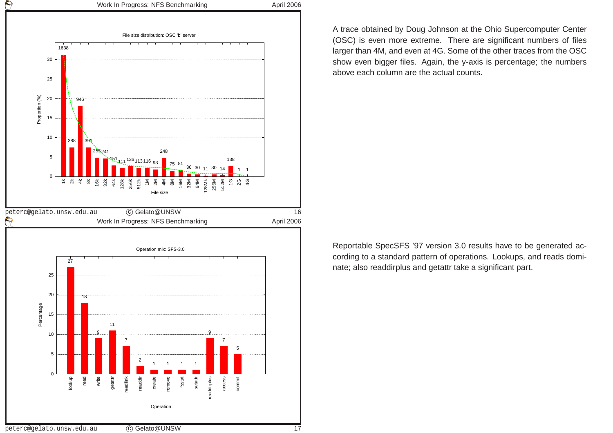

A trace obtained by Doug Johnson at the Ohio Supercomputer Center (OSC) is even more extreme. There are significant numbers of files larger than 4M, and even at 4G. Some of the other traces from the OSC show even bigger files. Again, the y-axis is percentage; the numbersabove each column are the actual counts.

Reportable SpecSFS '97 version 3.0 results have to be generated ac cording to <sup>a</sup> standard pattern of operations. Lookups, and reads dominate; also readdirplus and getattr take <sup>a</sup> significant part.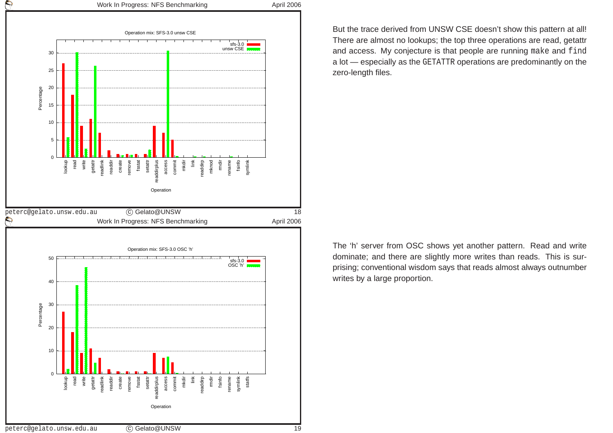

But the trace derived from UNSW CSE doesn't show this pattern at all! There are almost no lookups; the top three operations are read, getattr and access. My conjecture is that people are running make and find <sup>a</sup> lot — especially as the GETATTR operations are predominantly on the zero-length files.

The 'h' server from OSC shows yet another pattern. Read and write dominate; and there are slightly more writes than reads. This is surprising; conventional wisdom says that reads almost always outnumberwrites by <sup>a</sup> large proportion.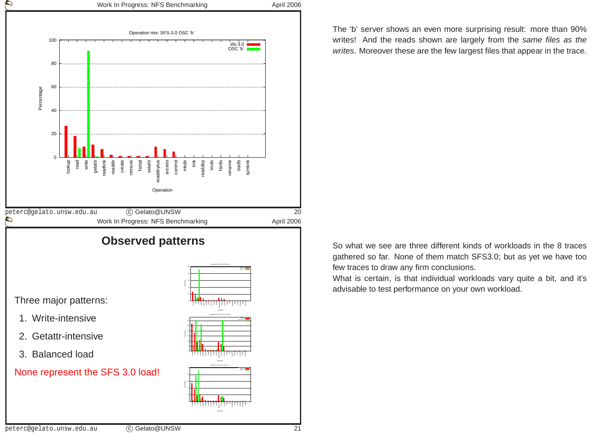

The 'b' server shows an even more surprising result: more than 90%writes! And the reads shown are largely from the sa*me files as the* writes. Moreover these are the few largest files that appear in the trace.

So what we see are three different kinds of workloads in the 8 traces gathered so far. None of them match SFS3.0; but as yet we have toofew traces to draw any firm conclusions.

What is certain, is that individual workloads vary quite <sup>a</sup> bit, and it's advisable to test performance on your own workload.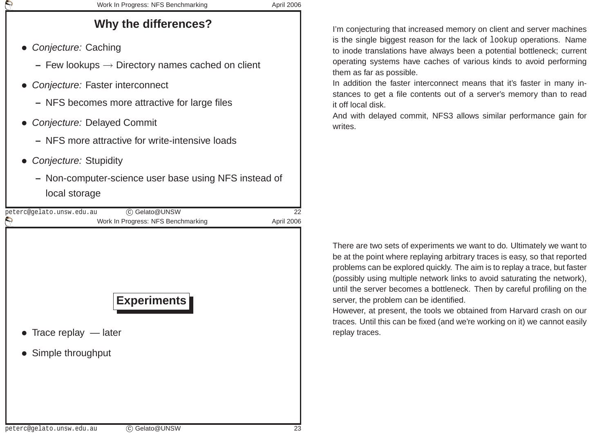## **Why the differences?**

- • Conjecture: Caching
	- **–** Few lookups <sup>→</sup> Directory names cached on client
- • Conjecture: Faster interconnect
	- **–** NFS becomes more attractive for large files
- • Conjecture: Delayed Commit
	- **–** NFS more attractive for write-intensive loads
- Conjecture: Stupidity
	- **–** Non-computer-science user base using NFS instead of local storage

| peterc@gelato.unsw.edu.au<br>Gelato@UNSW<br>$\circled{c}$ | 22         |
|-----------------------------------------------------------|------------|
| ⇨<br>Work In Progress: NFS Benchmarking                   | April 2006 |
|                                                           |            |
|                                                           |            |
|                                                           |            |
|                                                           |            |
|                                                           |            |
|                                                           |            |
|                                                           |            |
| <b>Experiments</b>                                        |            |
|                                                           |            |
|                                                           |            |
| $\bullet$ Trace replay $-$ later                          |            |
| • Simple throughput                                       |            |
|                                                           |            |
|                                                           |            |

<sup>c</sup> Gelato@UNSW

I'm conjecturing that increased memory on client and server machines is the single biggest reason for the lack of lookup operations. Name to inode translations have always been <sup>a</sup> potential bottleneck; current operating systems have caches of various kinds to avoid performingthem as far as possible.

In addition the faster interconnect means that it's faster in many instances to get <sup>a</sup> file contents out of <sup>a</sup> server's memory than to readit off local disk.

And with delayed commit, NFS3 allows similar performance gain for writes.

There are two sets of experiments we want to do. Ultimately we want to be at the point where replaying arbitrary traces is easy, so that reported problems can be explored quickly. The aim is to replay <sup>a</sup> trace, but faster(possibly using multiple network links to avoid saturating the network), until the server becomes <sup>a</sup> bottleneck. Then by careful profiling on the server, the problem can be identified.

However, at present, the tools we obtained from Harvard crash on our traces. Until this can be fixed (and we're working on it) we cannot easilyreplay traces.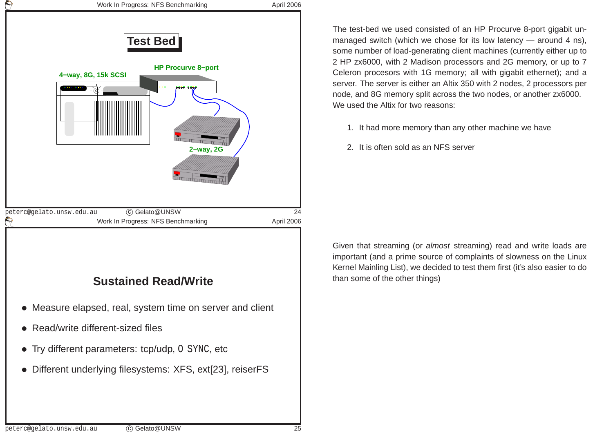

• Different underlying filesystems: XFS, ext[23], reiserFS

The test-bed we used consisted of an HP Procurve 8-port gigabit unmanaged switch (which we chose for its low latency — around <sup>4</sup> ns), some number of load-generating client machines (currently either up to <sup>2</sup> HP zx6000, with <sup>2</sup> Madison processors and 2G memory, or up to <sup>7</sup> Celeron procesors with 1G memory; all with gigabit ethernet); and <sup>a</sup> server. The server is either an Altix 350 with 2 nodes, 2 processors pernode, and 8G memory split across the two nodes, or another zx6000. We used the Altix for two reasons:

- 1. It had more memory than any other machine we have
- 2. It is often sold as an NFS server

Given that streaming (or *almost* streaming) read and write loads are important (and <sup>a</sup> prime source of complaints of slowness on the Linux Kernel Mainling List), we decided to test them first (it's also easier to dothan some of the other things)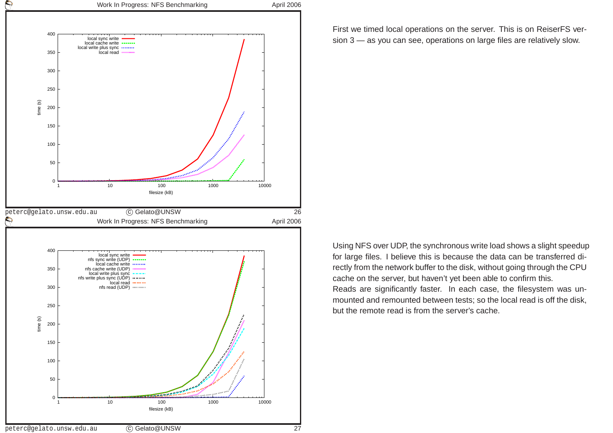

First we timed local operations on the server. This is on ReiserFS version 3 — as you can see, operations on large files are relatively slow.

Using NFS over UDP, the synchronous write load shows <sup>a</sup> slight speedup for large files. I believe this is because the data can be transferred directly from the network buffer to the disk, without going through the CPUcache on the server, but haven't yet been able to confirm this. Reads are significantly faster. In each case, the filesystem was unmounted and remounted between tests; so the local read is off the disk, but the remote read is from the server's cache.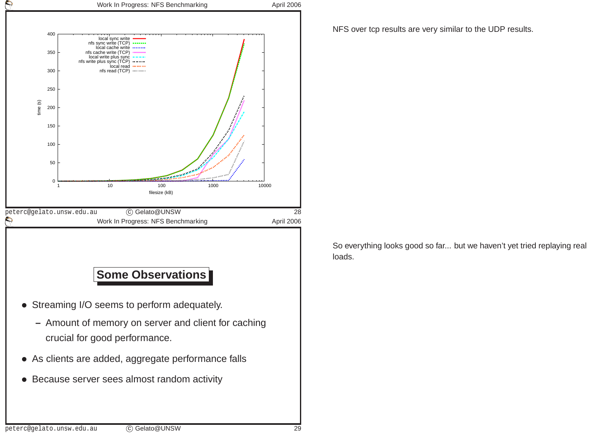

- **–** Amount of memory on server and client for caching crucial for good performance.
- As clients are added, aggregate performance falls
- Because server sees almost random activity

NFS over tcp results are very similar to the UDP results.

So everything looks good so far... but we haven't yet tried replaying real loads.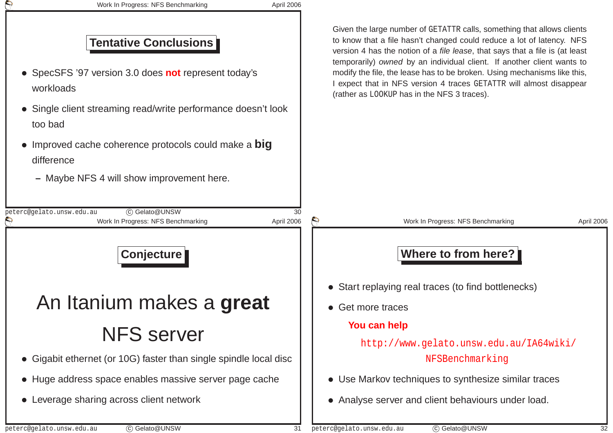| Work In Progress: NFS Benchmarking<br>April 2006                                                                                                                              |                                             |                                                                                                                                                                                                                                                                                                                                                                                                                                                              |            |
|-------------------------------------------------------------------------------------------------------------------------------------------------------------------------------|---------------------------------------------|--------------------------------------------------------------------------------------------------------------------------------------------------------------------------------------------------------------------------------------------------------------------------------------------------------------------------------------------------------------------------------------------------------------------------------------------------------------|------------|
| <b>Tentative Conclusions</b><br>• SpecSFS '97 version 3.0 does not represent today's<br>workloads<br>• Single client streaming read/write performance doesn't look<br>too bad | (rather as LOOKUP has in the NFS 3 traces). | Given the large number of GETATTR calls, something that allows clients<br>to know that a file hasn't changed could reduce a lot of latency. NFS<br>version 4 has the notion of a file lease, that says that a file is (at least<br>temporarily) owned by an individual client. If another client wants to<br>modify the file, the lease has to be broken. Using mechanisms like this,<br>I expect that in NFS version 4 traces GETATTR will almost disappear |            |
| • Improved cache coherence protocols could make a <b>big</b><br>difference<br>- Maybe NFS 4 will show improvement here.                                                       |                                             |                                                                                                                                                                                                                                                                                                                                                                                                                                                              |            |
| C Gelato@UNSW<br>peterc@gelato.unsw.edu.au<br>30                                                                                                                              |                                             |                                                                                                                                                                                                                                                                                                                                                                                                                                                              |            |
| April 2006<br>Work In Progress: NFS Benchmarking                                                                                                                              |                                             | Work In Progress: NFS Benchmarking                                                                                                                                                                                                                                                                                                                                                                                                                           | April 2006 |
| <b>Conjecture</b>                                                                                                                                                             |                                             | Where to from here?                                                                                                                                                                                                                                                                                                                                                                                                                                          |            |
|                                                                                                                                                                               |                                             | • Start replaying real traces (to find bottlenecks)                                                                                                                                                                                                                                                                                                                                                                                                          |            |
| An Itanium makes a great                                                                                                                                                      | • Get more traces                           |                                                                                                                                                                                                                                                                                                                                                                                                                                                              |            |
|                                                                                                                                                                               | You can help                                |                                                                                                                                                                                                                                                                                                                                                                                                                                                              |            |
| <b>NFS server</b>                                                                                                                                                             |                                             | http://www.gelato.unsw.edu.au/IA64wiki/                                                                                                                                                                                                                                                                                                                                                                                                                      |            |
| • Gigabit ethernet (or 10G) faster than single spindle local disc                                                                                                             |                                             | NFSBenchmarking                                                                                                                                                                                                                                                                                                                                                                                                                                              |            |
| • Huge address space enables massive server page cache<br>• Leverage sharing across client network                                                                            |                                             | • Use Markov techniques to synthesize similar traces<br>• Analyse server and client behaviours under load.                                                                                                                                                                                                                                                                                                                                                   |            |

peterc@gelato.unsw.edu.au

peterc@gelato.unsw.edu.au